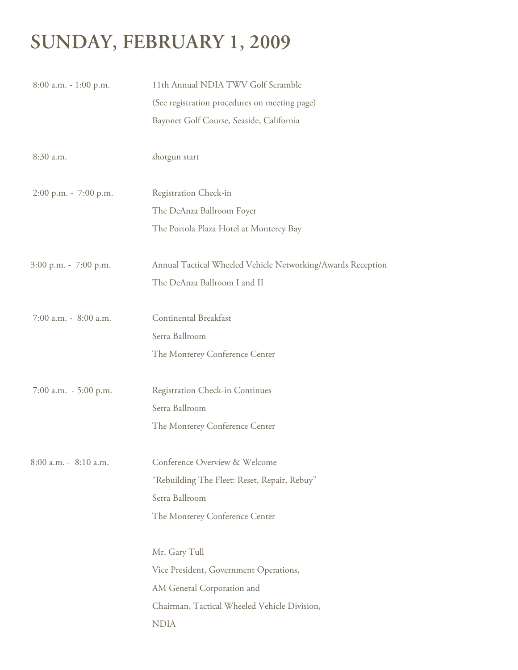# **SUNDAY, FEBRUARY 1, 2009**

| $8:00$ a.m. $-1:00$ p.m. | 11th Annual NDIA TWV Golf Scramble                          |  |  |
|--------------------------|-------------------------------------------------------------|--|--|
|                          | (See registration procedures on meeting page)               |  |  |
|                          | Bayonet Golf Course, Seaside, California                    |  |  |
| 8:30 a.m.                | shotgun start                                               |  |  |
| 2:00 p.m. - 7:00 p.m.    | Registration Check-in                                       |  |  |
|                          | The DeAnza Ballroom Foyer                                   |  |  |
|                          | The Portola Plaza Hotel at Monterey Bay                     |  |  |
| 3:00 p.m. - 7:00 p.m.    | Annual Tactical Wheeled Vehicle Networking/Awards Reception |  |  |
|                          | The DeAnza Ballroom I and II                                |  |  |
| 7:00 a.m. - 8:00 a.m.    | Continental Breakfast                                       |  |  |
|                          | Serra Ballroom                                              |  |  |
|                          | The Monterey Conference Center                              |  |  |
| 7:00 a.m. - 5:00 p.m.    | Registration Check-in Continues                             |  |  |
|                          | Serra Ballroom                                              |  |  |
|                          | The Monterey Conference Center                              |  |  |
| 8:00 a.m. - 8:10 a.m.    | Conference Overview & Welcome                               |  |  |
|                          | "Rebuilding The Fleet: Reset, Repair, Rebuy"                |  |  |
|                          | Serra Ballroom                                              |  |  |
|                          | The Monterey Conference Center                              |  |  |
|                          | Mr. Gary Tull                                               |  |  |
|                          | Vice President, Government Operations,                      |  |  |
|                          | AM General Corporation and                                  |  |  |
|                          | Chairman, Tactical Wheeled Vehicle Division,                |  |  |
|                          | <b>NDIA</b>                                                 |  |  |
|                          |                                                             |  |  |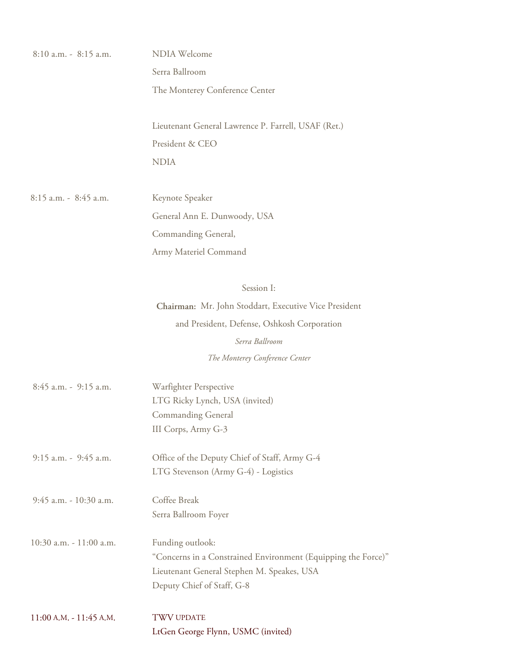| 8:10 a.m. - 8:15 a.m.       | NDIA Welcome                                                             |  |  |
|-----------------------------|--------------------------------------------------------------------------|--|--|
|                             | Serra Ballroom                                                           |  |  |
|                             | The Monterey Conference Center                                           |  |  |
|                             | Lieutenant General Lawrence P. Farrell, USAF (Ret.)                      |  |  |
|                             | President & CEO                                                          |  |  |
|                             | <b>NDIA</b>                                                              |  |  |
| 8:15 a.m. - 8:45 a.m.       | Keynote Speaker                                                          |  |  |
|                             | General Ann E. Dunwoody, USA                                             |  |  |
|                             | Commanding General,                                                      |  |  |
|                             | Army Materiel Command                                                    |  |  |
|                             | Session I:                                                               |  |  |
|                             | Chairman: Mr. John Stoddart, Executive Vice President                    |  |  |
|                             | and President, Defense, Oshkosh Corporation                              |  |  |
|                             | Serra Ballroom                                                           |  |  |
|                             | The Monterey Conference Center                                           |  |  |
| 8:45 a.m. - 9:15 a.m.       | Warfighter Perspective                                                   |  |  |
|                             | LTG Ricky Lynch, USA (invited)<br><b>Commanding General</b>              |  |  |
|                             | III Corps, Army G-3                                                      |  |  |
| 9:15 a.m. - 9:45 a.m.       | Office of the Deputy Chief of Staff, Army G-4                            |  |  |
|                             | LTG Stevenson (Army G-4) - Logistics                                     |  |  |
| 9:45 a.m. - 10:30 a.m.      | Coffee Break                                                             |  |  |
|                             | Serra Ballroom Foyer                                                     |  |  |
| 10:30 a.m. - 11:00 a.m.     | Funding outlook:                                                         |  |  |
|                             | "Concerns in a Constrained Environment (Equipping the Force)"            |  |  |
|                             | Lieutenant General Stephen M. Speakes, USA<br>Deputy Chief of Staff, G-8 |  |  |
| $11:00$ A.M. - $11:45$ A.M. | <b>TWV UPDATE</b>                                                        |  |  |
|                             | LtGen George Flynn, USMC (invited)                                       |  |  |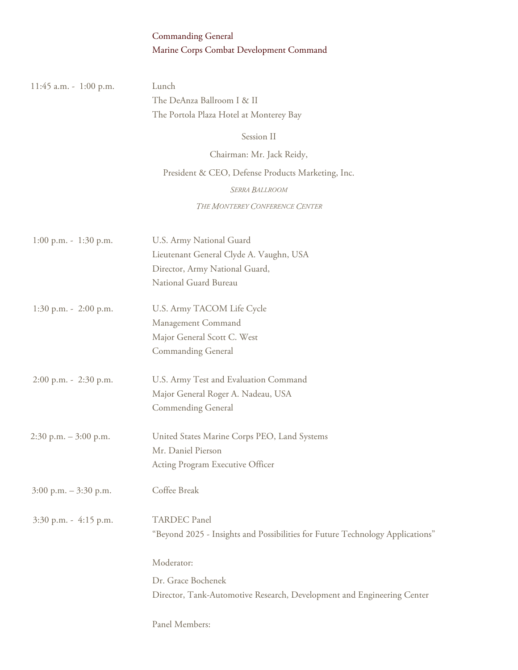### Commanding General Marine Corps Combat Development Command

| 11:45 a.m. - 1:00 p.m.    | Lunch                                                                         |  |
|---------------------------|-------------------------------------------------------------------------------|--|
|                           | The DeAnza Ballroom I & II<br>The Portola Plaza Hotel at Monterey Bay         |  |
|                           | Session II                                                                    |  |
|                           | Chairman: Mr. Jack Reidy,                                                     |  |
|                           | President & CEO, Defense Products Marketing, Inc.                             |  |
|                           | SERRA BALLROOM                                                                |  |
|                           | THE MONTEREY CONFERENCE CENTER                                                |  |
| $1:00$ p.m. - $1:30$ p.m. | U.S. Army National Guard                                                      |  |
|                           | Lieutenant General Clyde A. Vaughn, USA                                       |  |
|                           | Director, Army National Guard,                                                |  |
|                           | National Guard Bureau                                                         |  |
| $1:30$ p.m. - $2:00$ p.m. | U.S. Army TACOM Life Cycle                                                    |  |
|                           | Management Command                                                            |  |
|                           | Major General Scott C. West                                                   |  |
|                           | <b>Commanding General</b>                                                     |  |
| 2:00 p.m. - 2:30 p.m.     | U.S. Army Test and Evaluation Command                                         |  |
|                           | Major General Roger A. Nadeau, USA                                            |  |
|                           | <b>Commending General</b>                                                     |  |
| $2:30$ p.m. $-3:00$ p.m.  | United States Marine Corps PEO, Land Systems                                  |  |
|                           | Mr. Daniel Pierson                                                            |  |
|                           | Acting Program Executive Officer                                              |  |
| $3:00$ p.m. $-3:30$ p.m.  | Coffee Break                                                                  |  |
| 3:30 p.m. - 4:15 p.m.     | <b>TARDEC</b> Panel                                                           |  |
|                           | "Beyond 2025 - Insights and Possibilities for Future Technology Applications" |  |
|                           | Moderator:                                                                    |  |
|                           | Dr. Grace Bochenek                                                            |  |
|                           | Director, Tank-Automotive Research, Development and Engineering Center        |  |
|                           | Panel Members:                                                                |  |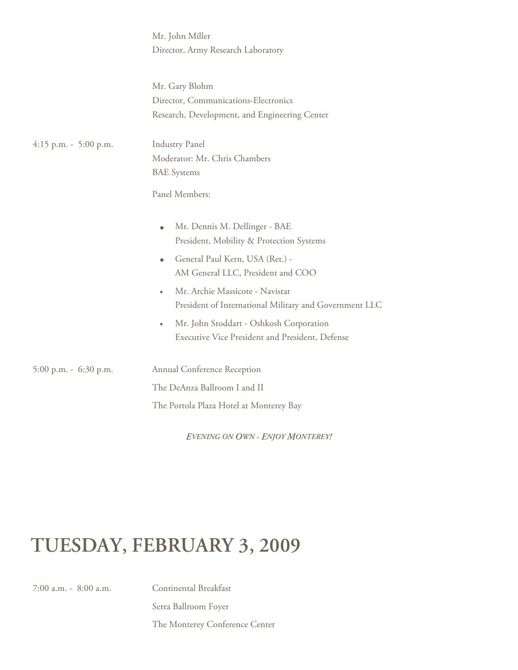|                         | Mr. John Miller<br>Director, Army Research Laboratory                                                                                                                                                                                                                                                                                                                                            |  |
|-------------------------|--------------------------------------------------------------------------------------------------------------------------------------------------------------------------------------------------------------------------------------------------------------------------------------------------------------------------------------------------------------------------------------------------|--|
|                         | Mr. Gary Blohm<br>Director, Communications-Electronics<br>Research, Development, and Engineering Center                                                                                                                                                                                                                                                                                          |  |
| $4:15$ p.m. - 5:00 p.m. | <b>Industry Panel</b><br>Moderator: Mr. Chris Chambers<br><b>BAE</b> Systems<br>Panel Members:                                                                                                                                                                                                                                                                                                   |  |
|                         | Mr. Dennis M. Dellinger - BAE<br>$\bullet$<br>President, Mobility & Protection Systems<br>General Paul Kern, USA (Ret.) -<br>$\bullet$<br>AM General LLC, President and COO<br>Mr. Archie Massicote - Navistar<br>$\bullet$<br>President of International Military and Government LLC<br>Mr. John Stoddart - Oshkosh Corporation<br>$\bullet$<br>Executive Vice President and President, Defense |  |
| 5:00 p.m. - 6:30 p.m.   | Annual Conference Reception<br>The DeAnza Ballroom I and II                                                                                                                                                                                                                                                                                                                                      |  |
|                         | The Portola Plaza Hotel at Monterey Bay                                                                                                                                                                                                                                                                                                                                                          |  |

*EVENING ON OWN - ENJOY MONTEREY!*

# **TUESDAY, FEBRUARY 3, 2009**

7:00 a.m. - 8:00 a.m. Continental Breakfast

 Serra Ballroom Foyer The Monterey Conference Center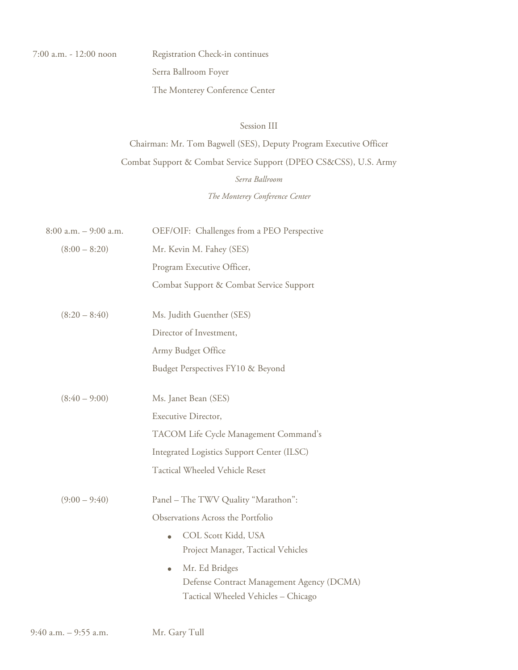Registration Check-in continues Serra Ballroom Foyer The Monterey Conference Center

#### Session III

## Chairman: Mr. Tom Bagwell (SES), Deputy Program Executive Officer Combat Support & Combat Service Support (DPEO CS&CSS), U.S. Army *Serra Ballroom The Monterey Conference Center*

| $8:00$ a.m. $-$ 9:00 a.m. | OEF/OIF: Challenges from a PEO Perspective |  |  |
|---------------------------|--------------------------------------------|--|--|
| $(8:00 - 8:20)$           | Mr. Kevin M. Fahey (SES)                   |  |  |
|                           | Program Executive Officer,                 |  |  |
|                           | Combat Support & Combat Service Support    |  |  |
| $(8:20 - 8:40)$           | Ms. Judith Guenther (SES)                  |  |  |
|                           | Director of Investment,                    |  |  |
|                           | Army Budget Office                         |  |  |
|                           | Budget Perspectives FY10 & Beyond          |  |  |
| $(8:40 - 9:00)$           | Ms. Janet Bean (SES)                       |  |  |
|                           | Executive Director,                        |  |  |
|                           | TACOM Life Cycle Management Command's      |  |  |
|                           | Integrated Logistics Support Center (ILSC) |  |  |
|                           | Tactical Wheeled Vehicle Reset             |  |  |
| $(9:00 - 9:40)$           | Panel - The TWV Quality "Marathon":        |  |  |
|                           | Observations Across the Portfolio          |  |  |
|                           | COL Scott Kidd, USA<br>$\bullet$           |  |  |
|                           | Project Manager, Tactical Vehicles         |  |  |
|                           | Mr. Ed Bridges<br>۰                        |  |  |
|                           | Defense Contract Management Agency (DCMA)  |  |  |
|                           | Tactical Wheeled Vehicles - Chicago        |  |  |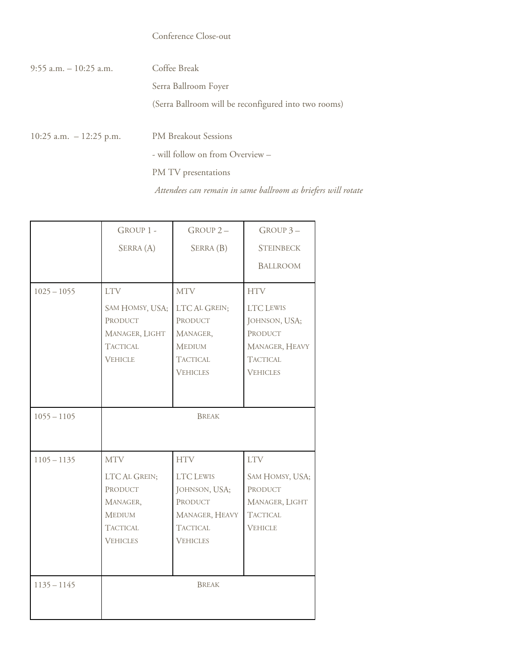### Conference Close-out

| 9:55 a.m. – 10:25 a.m.     | Coffee Break                                                  |
|----------------------------|---------------------------------------------------------------|
|                            | Serra Ballroom Foyer                                          |
|                            | (Serra Ballroom will be reconfigured into two rooms)          |
|                            |                                                               |
| $10:25$ a.m. $-12:25$ p.m. | <b>PM Breakout Sessions</b>                                   |
|                            | - will follow on from Overview –                              |
|                            | PM TV presentations                                           |
|                            | Attendees can remain in same ballroom as briefers will rotate |

|               | GROUP 1 -                                                                                                 | GROUP <sub>2</sub> -                                                                                               | GROUP 3-                                                                                             |
|---------------|-----------------------------------------------------------------------------------------------------------|--------------------------------------------------------------------------------------------------------------------|------------------------------------------------------------------------------------------------------|
|               | SERRA (A)                                                                                                 | SERRA (B)                                                                                                          | <b>STEINBECK</b>                                                                                     |
|               |                                                                                                           |                                                                                                                    | <b>BALLROOM</b>                                                                                      |
| $1025 - 1055$ | <b>LTV</b>                                                                                                | <b>MTV</b>                                                                                                         | <b>HTV</b>                                                                                           |
|               | SAM HOMSY, USA;<br>PRODUCT<br>MANAGER, LIGHT<br><b>TACTICAL</b><br><b>VEHICLE</b>                         | LTC AL GREIN;<br>PRODUCT<br>MANAGER,<br><b>MEDIUM</b><br><b>TACTICAL</b><br><b>VEHICLES</b>                        | <b>LTC LEWIS</b><br>JOHNSON, USA;<br>PRODUCT<br>MANAGER, HEAVY<br><b>TACTICAL</b><br><b>VEHICLES</b> |
| $1055 - 1105$ | <b>BREAK</b>                                                                                              |                                                                                                                    |                                                                                                      |
| $1105 - 1135$ | <b>MTV</b><br>LTC AL GREIN;<br>PRODUCT<br>MANAGER,<br><b>MEDIUM</b><br><b>TACTICAL</b><br><b>VEHICLES</b> | <b>HTV</b><br><b>LTC LEWIS</b><br>JOHNSON, USA;<br>PRODUCT<br>MANAGER, HEAVY<br><b>TACTICAL</b><br><b>VEHICLES</b> | <b>LTV</b><br>SAM HOMSY, USA;<br>PRODUCT<br>MANAGER, LIGHT<br><b>TACTICAL</b><br><b>VEHICLE</b>      |
| $1135 - 1145$ |                                                                                                           | <b>BREAK</b>                                                                                                       |                                                                                                      |